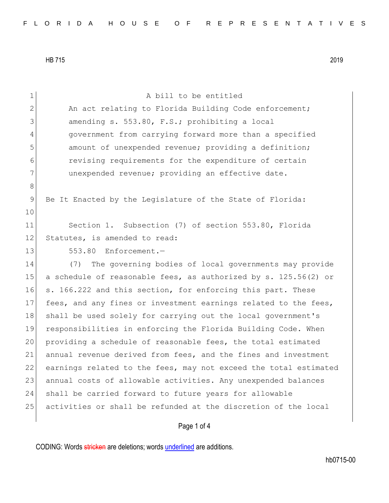| $\mathbf{1}$ | A bill to be entitled                                            |
|--------------|------------------------------------------------------------------|
| $\mathbf{2}$ | An act relating to Florida Building Code enforcement;            |
| 3            | amending s. 553.80, F.S.; prohibiting a local                    |
| 4            | government from carrying forward more than a specified           |
| 5            | amount of unexpended revenue; providing a definition;            |
| 6            | revising requirements for the expenditure of certain             |
| 7            | unexpended revenue; providing an effective date.                 |
| 8            |                                                                  |
| 9            | Be It Enacted by the Legislature of the State of Florida:        |
| 10           |                                                                  |
| 11           | Section 1. Subsection (7) of section 553.80, Florida             |
| 12           | Statutes, is amended to read:                                    |
| 13           | 553.80 Enforcement.-                                             |
| 14           | The governing bodies of local governments may provide<br>(7)     |
| 15           | a schedule of reasonable fees, as authorized by s. 125.56(2) or  |
| 16           | s. 166.222 and this section, for enforcing this part. These      |
| 17           | fees, and any fines or investment earnings related to the fees,  |
| 18           | shall be used solely for carrying out the local government's     |
| 19           | responsibilities in enforcing the Florida Building Code. When    |
| 20           | providing a schedule of reasonable fees, the total estimated     |
| 21           | annual revenue derived from fees, and the fines and investment   |
| 22           | earnings related to the fees, may not exceed the total estimated |
| 23           | annual costs of allowable activities. Any unexpended balances    |
| 24           | shall be carried forward to future years for allowable           |
| 25           | activities or shall be refunded at the discretion of the local   |
|              | Page 1 of 4                                                      |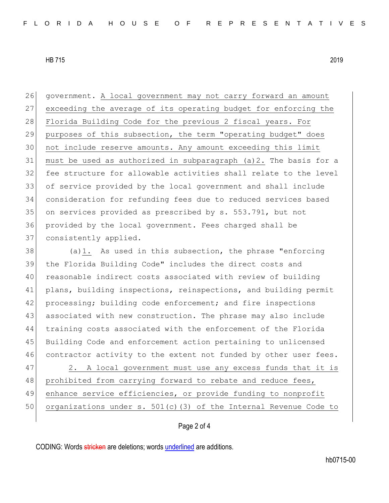government. A local government may not carry forward an amount exceeding the average of its operating budget for enforcing the 28 Florida Building Code for the previous 2 fiscal years. For 29 purposes of this subsection, the term "operating budget" does not include reserve amounts. Any amount exceeding this limit must be used as authorized in subparagraph (a)2. The basis for a fee structure for allowable activities shall relate to the level of service provided by the local government and shall include consideration for refunding fees due to reduced services based on services provided as prescribed by s. 553.791, but not provided by the local government. Fees charged shall be 37 consistently applied.

 (a)1. As used in this subsection, the phrase "enforcing the Florida Building Code" includes the direct costs and reasonable indirect costs associated with review of building plans, building inspections, reinspections, and building permit 42 processing; building code enforcement; and fire inspections associated with new construction. The phrase may also include training costs associated with the enforcement of the Florida Building Code and enforcement action pertaining to unlicensed 46 contractor activity to the extent not funded by other user fees.

47 2. A local government must use any excess funds that it is 48 prohibited from carrying forward to rebate and reduce fees, 49 enhance service efficiencies, or provide funding to nonprofit 50 organizations under s. 501(c)(3) of the Internal Revenue Code to

## Page 2 of 4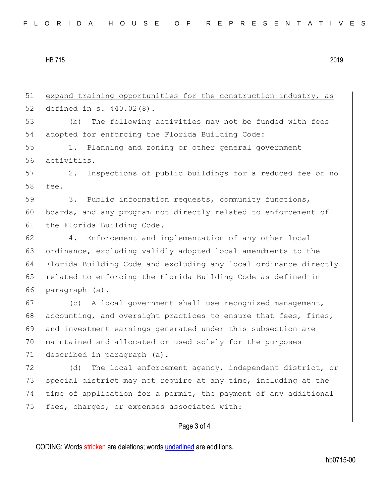51 expand training opportunities for the construction industry, as 52 defined in s. 440.02(8). 53 (b) The following activities may not be funded with fees 54 adopted for enforcing the Florida Building Code: 55 1. Planning and zoning or other general government 56 activities. 57 2. Inspections of public buildings for a reduced fee or no 58 fee. 59 3. Public information requests, community functions, 60 boards, and any program not directly related to enforcement of 61 the Florida Building Code. 62 4. Enforcement and implementation of any other local 63 ordinance, excluding validly adopted local amendments to the 64 Florida Building Code and excluding any local ordinance directly 65 related to enforcing the Florida Building Code as defined in 66 paragraph (a). 67 (c) A local government shall use recognized management, 68 accounting, and oversight practices to ensure that fees, fines, 69 and investment earnings generated under this subsection are 70 maintained and allocated or used solely for the purposes 71 described in paragraph (a). 72 (d) The local enforcement agency, independent district, or 73 special district may not require at any time, including at the 74 time of application for a permit, the payment of any additional 75 fees, charges, or expenses associated with:

## Page 3 of 4